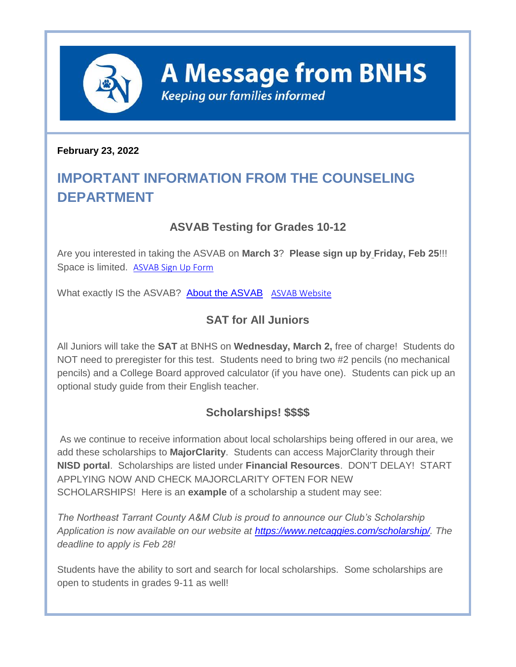

**A Message from BNHS** 

**Keeping our families informed** 

#### **February 23, 2022**

# **IMPORTANT INFORMATION FROM THE COUNSELING DEPARTMENT**

# **ASVAB Testing for Grades 10-12**

Are you interested in taking the ASVAB on **March 3**? **Please sign up by Friday, Feb 25**!!! Space is limited. [ASVAB Sign Up Form](http://track.spe.schoolmessenger.com/f/a/hMCOLPH9bpYuTVSJDvbTBA~~/AAAAAQA~/RgRj99XGP0QjaHR0cHM6Ly9mb3Jtcy5nbGUvU3RzYnJjSHVKaG40SHBacDZXB3NjaG9vbG1CCmIWRqIWYkWfHblSFGNodWl6ZW5nYUBuaXNkdHgub3JnWAQAAAAB)

What exactly IS the ASVAB? [About the ASVAB](http://track.spe.schoolmessenger.com/f/a/hV5XRQUmxyygKv9ITtk_1Q~~/AAAAAQA~/RgRj99XGP0R1aHR0cHM6Ly9tc2cuc2Nob29sbWVzc2VuZ2VyLmNvbS9tLz9zPTJiMWdZeldYNks0Jm1hbD1iNDg1Mzk0NGU1ZDdmNDExOTQ2NDI3NDRkNWVjYWQ2ZGE2ZDVmODQ0OGRkYmUwNWJkZjUwMDZmYjBkYzc3NzhmVwdzY2hvb2xtQgpiFkaiFmJFnx25UhRjaHVpemVuZ2FAbmlzZHR4Lm9yZ1gEAAAAAQ~~) [ASVAB Website](http://track.spe.schoolmessenger.com/f/a/PeFaMT90QKPNLNIBabuXUQ~~/AAAAAQA~/RgRj99XGP0QeaHR0cHM6Ly93d3cub2ZmaWNpYWxhc3ZhYi5jb20vVwdzY2hvb2xtQgpiFkaiFmJFnx25UhRjaHVpemVuZ2FAbmlzZHR4Lm9yZ1gEAAAAAQ~~)

# **SAT for All Juniors**

All Juniors will take the **SAT** at BNHS on **Wednesday, March 2,** free of charge! Students do NOT need to preregister for this test. Students need to bring two #2 pencils (no mechanical pencils) and a College Board approved calculator (if you have one). Students can pick up an optional study guide from their English teacher.

## **Scholarships! \$\$\$\$**

As we continue to receive information about local scholarships being offered in our area, we add these scholarships to **MajorClarity**. Students can access MajorClarity through their **NISD portal**. Scholarships are listed under **Financial Resources**. DON'T DELAY! START APPLYING NOW AND CHECK MAJORCLARITY OFTEN FOR NEW SCHOLARSHIPS! Here is an **example** of a scholarship a student may see:

*The Northeast Tarrant County A&M Club is proud to announce our Club's Scholarship Application is now available on our website at [https://www.netcaggies.com/scholarship/.](http://track.spe.schoolmessenger.com/f/a/JW7AVZbhWzSnHkCM3UtmVw~~/AAAAAQA~/RgRj99XGP0RPaHR0cHM6Ly9wcm90ZWN0LXVzLm1pbWVjYXN0LmNvbS9zL3BqQmdDS3J5eHJpQjQwcWtTTWlXQ3I_ZG9tYWluPW5ldGNhZ2dpZXMuY29tL1cHc2Nob29sbUIKYhZGohZiRZ8duVIUY2h1aXplbmdhQG5pc2R0eC5vcmdYBAAAAAE~) The deadline to apply is Feb 28!*

Students have the ability to sort and search for local scholarships. Some scholarships are open to students in grades 9-11 as well!